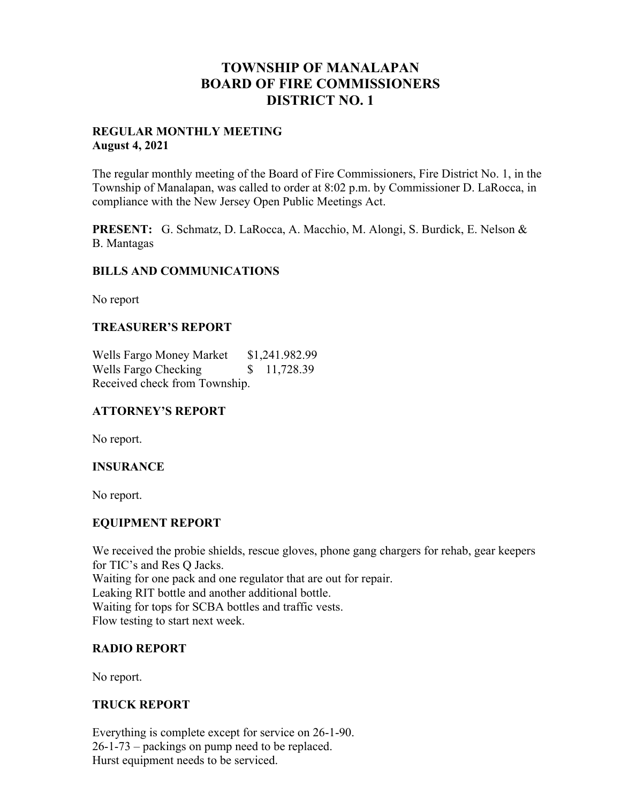# **TOWNSHIP OF MANALAPAN BOARD OF FIRE COMMISSIONERS DISTRICT NO. 1**

#### **REGULAR MONTHLY MEETING August 4, 2021**

The regular monthly meeting of the Board of Fire Commissioners, Fire District No. 1, in the Township of Manalapan, was called to order at 8:02 p.m. by Commissioner D. LaRocca, in compliance with the New Jersey Open Public Meetings Act.

**PRESENT:** G. Schmatz, D. LaRocca, A. Macchio, M. Alongi, S. Burdick, E. Nelson & B. Mantagas

#### **BILLS AND COMMUNICATIONS**

No report

#### **TREASURER'S REPORT**

Wells Fargo Money Market \$1,241.982.99 Wells Fargo Checking  $$ 11,728.39$ Received check from Township.

## **ATTORNEY'S REPORT**

No report.

#### **INSURANCE**

No report.

#### **EQUIPMENT REPORT**

We received the probie shields, rescue gloves, phone gang chargers for rehab, gear keepers for TIC's and Res Q Jacks. Waiting for one pack and one regulator that are out for repair. Leaking RIT bottle and another additional bottle. Waiting for tops for SCBA bottles and traffic vests. Flow testing to start next week.

#### **RADIO REPORT**

No report.

## **TRUCK REPORT**

Everything is complete except for service on 26-1-90. 26-1-73 – packings on pump need to be replaced. Hurst equipment needs to be serviced.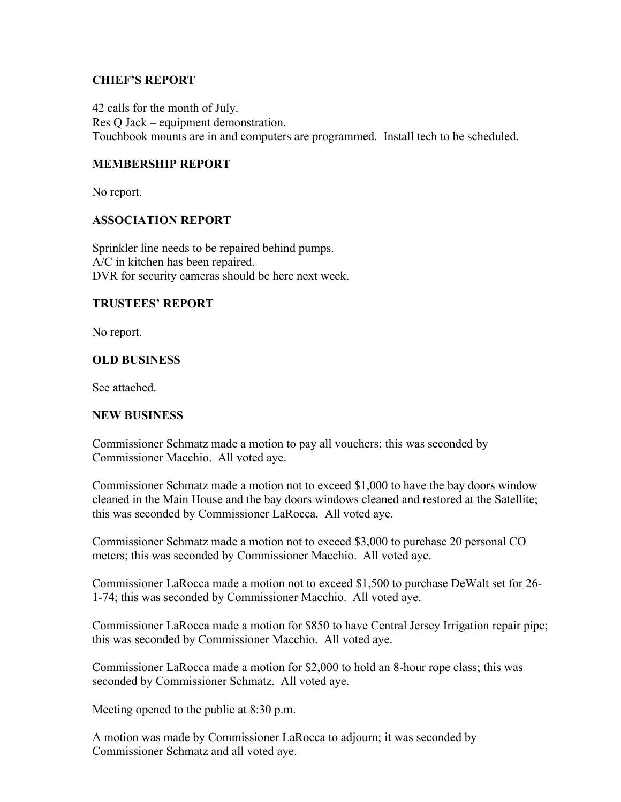#### **CHIEF'S REPORT**

42 calls for the month of July. Res Q Jack – equipment demonstration. Touchbook mounts are in and computers are programmed. Install tech to be scheduled.

## **MEMBERSHIP REPORT**

No report.

#### **ASSOCIATION REPORT**

Sprinkler line needs to be repaired behind pumps. A/C in kitchen has been repaired. DVR for security cameras should be here next week.

#### **TRUSTEES' REPORT**

No report.

#### **OLD BUSINESS**

See attached.

#### **NEW BUSINESS**

Commissioner Schmatz made a motion to pay all vouchers; this was seconded by Commissioner Macchio. All voted aye.

Commissioner Schmatz made a motion not to exceed \$1,000 to have the bay doors window cleaned in the Main House and the bay doors windows cleaned and restored at the Satellite; this was seconded by Commissioner LaRocca. All voted aye.

Commissioner Schmatz made a motion not to exceed \$3,000 to purchase 20 personal CO meters; this was seconded by Commissioner Macchio. All voted aye.

Commissioner LaRocca made a motion not to exceed \$1,500 to purchase DeWalt set for 26- 1-74; this was seconded by Commissioner Macchio. All voted aye.

Commissioner LaRocca made a motion for \$850 to have Central Jersey Irrigation repair pipe; this was seconded by Commissioner Macchio. All voted aye.

Commissioner LaRocca made a motion for \$2,000 to hold an 8-hour rope class; this was seconded by Commissioner Schmatz. All voted aye.

Meeting opened to the public at 8:30 p.m.

A motion was made by Commissioner LaRocca to adjourn; it was seconded by Commissioner Schmatz and all voted aye.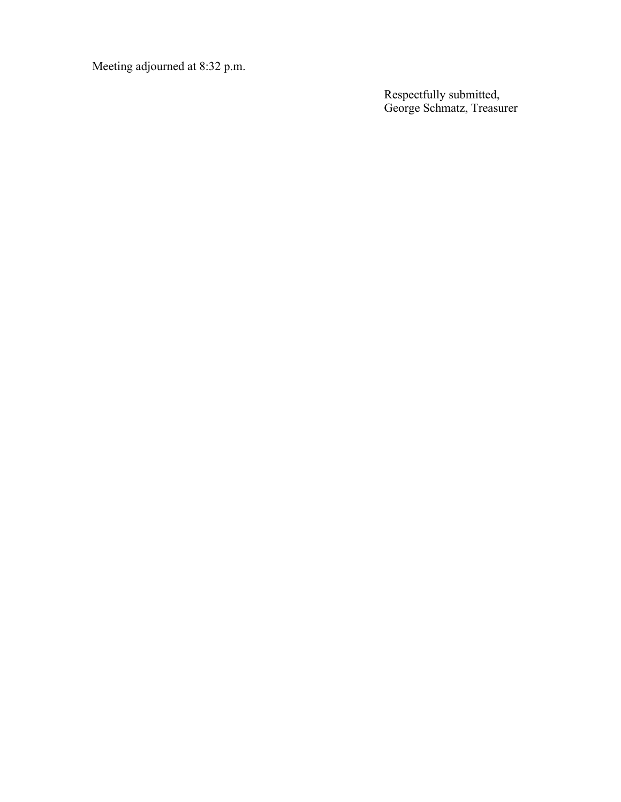Meeting adjourned at 8:32 p.m.

Respectfully submitted, George Schmatz, Treasurer